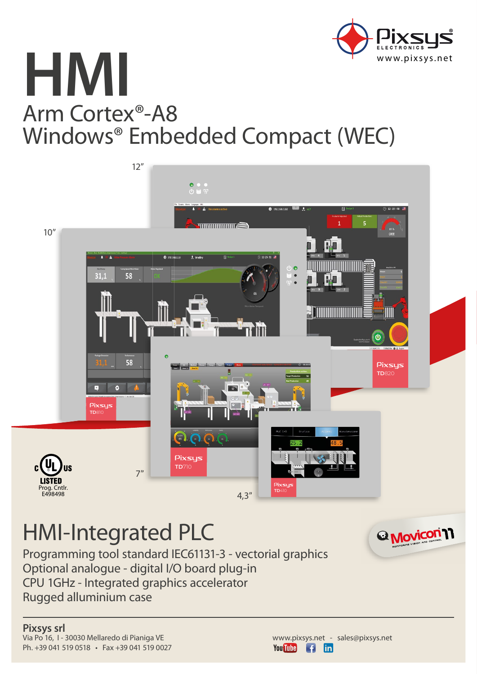

# **HMI** Arm Cortex®-A8 Windows® Embedded Compact (WEC)



## HMI-Integrated PLC

Programming tool standard IEC61131-3 - vectorial graphics Optional analogue - digital I/O board plug-in CPU 1GHz - Integrated graphics accelerator Rugged alluminium case

**Pixsys srl** Via Po 16, I - 30030 Mellaredo di Pianiga VE Ph. +39 041 519 0518 • Fax +39 041 519 0027



<sup>2</sup> Movicon<sup>1</sup>